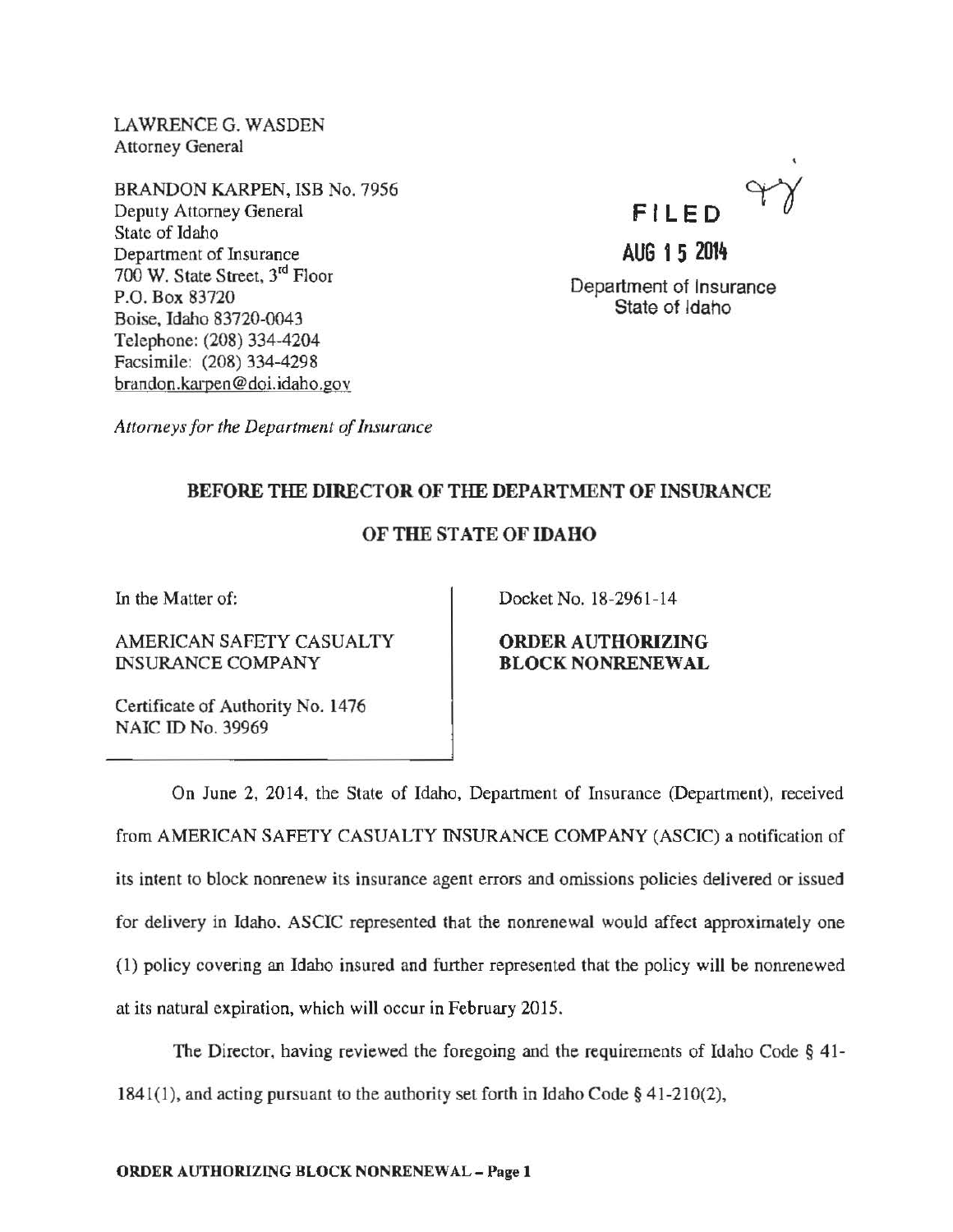LAWRENCE G. WASDEN Attorney General

BRANDON KARPEN, ISB No. 7956 Deputy Attorney General State of Idaho Department of Insurance 700 W. State Street, 3rd Floor P.O. Box 83720 Boise, Idaho 83720-0043 Telephone: (208) 334-4204 Facsimile: (208) 334-4298 brandon.karpen@doi.idaho.gov



**AUG 1 5 2014**  Department of Insurance State of Idaho

*Attorneys for the Department of Insurance* 

## BEFORE THE DIRECTOR OF THE DEPARTMENT OF INSURANCE

## OF THE STATE OF IDAHO

In the Matter of:

AMERICAN SAFETY CASUALTY INSURANCE COMPANY

Docket No. 18-2961-14

ORDER AUTHORIZING BLOCK NONRENEWAL

Certificate of Authority No. 1476 NAIC ID No. 39969

On June 2, 2014, the State of Idaho, Department of Insurance (Department), received from AMERICAN SAFETY CASUALTY INSURANCE COMPANY (ASCIC) a notification of its intent to block nonrenew its insurance agent errors and omissions policies delivered or issued for delivery in Idaho. ASCIC represented that the nonrenewal would affect approximately one (1) policy covering an Idaho insured and further represented that the policy will be nonrenewed at its natural expiration, which will occur in February 2015.

The Director, having reviewed the foregoing and the requirements of Idaho Code § 41- 1841(1), and acting pursuant to the authority set forth in Idaho Code  $\S$  41-210(2),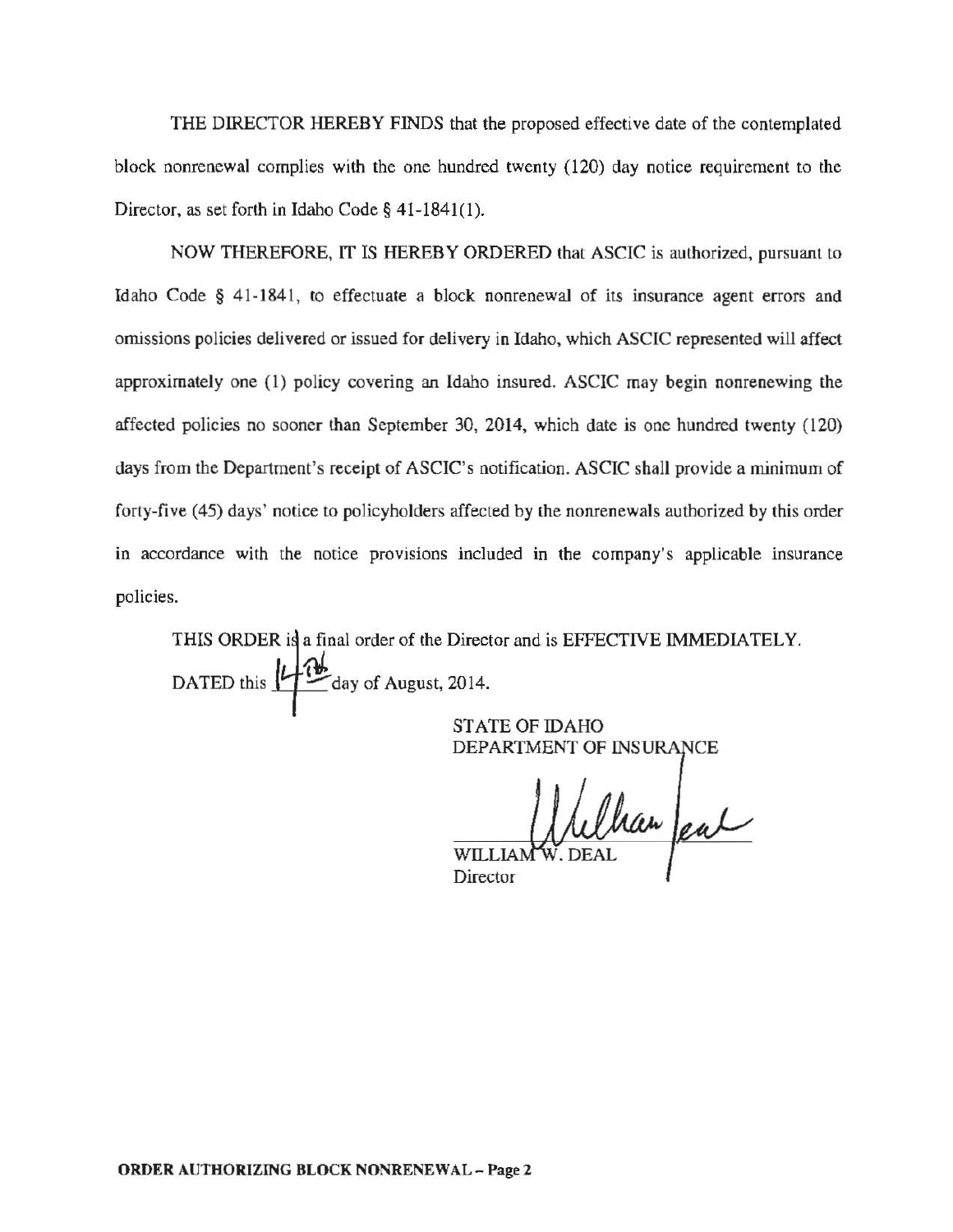THE DIRECTOR HEREBY FINDS that the proposed effective date of the contemplated block nonrenewal complies with the one hundred twenty (120) day notice requirement to the Director, as set forth in Idaho Code§ 41-1841(1).

NOW THEREFORE, IT IS HEREBY ORDERED that ASCIC is authorized, pursuant to Idaho Code § 41-1841, to effectuate a block nonrenewal of its insurance agent errors and omissions policies delivered or issued for delivery in Idaho, which ASCIC represented will affect approximately one (1) policy covering an Idaho insured. ASCIC may begin nonrenewing the affected policies no sooner than September 30, 2014, which date is one hundred twenty (120) days from the Department's receipt of ASCIC's notification. ASCIC shall provide a minimum of forty-five (45) days' notice to policyholders affected by the nonrenewals authorized by this order in accordance with the notice provisions included in the company's applicable insurance policies.

DATED this  $\mathcal{L}_{\text{day of August, 2014.}}$ THIS ORDER is a final order of the Director and is EFFECTIVE IMMEDIATELY.

> STATE OF IDAHO DEPARTMENT OF INSU

Villan pal WILLIAN

Director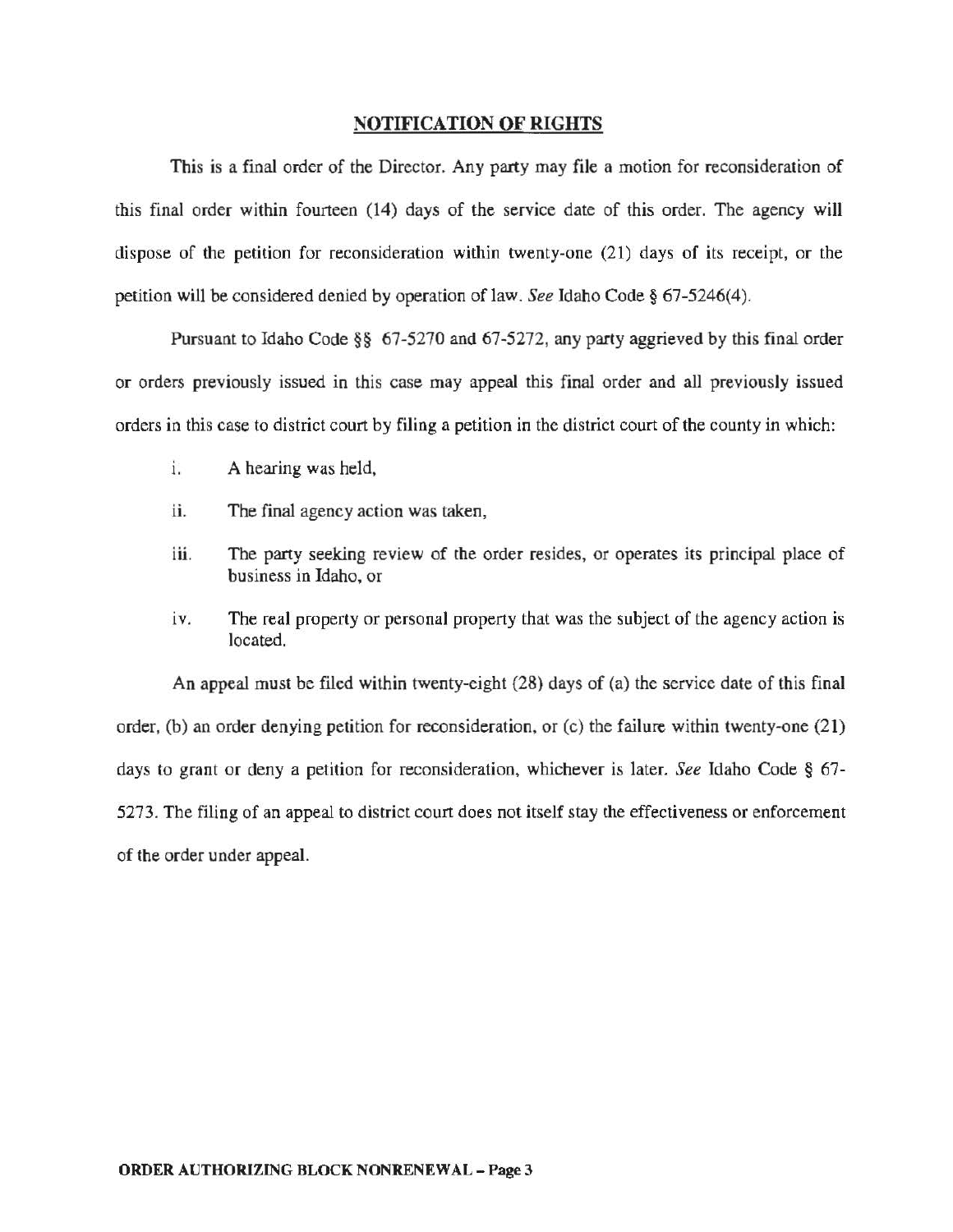## NOTIFICATION OF RIGHTS

This is a final order of the Director. Any party may file a motion for reconsideration of this final order within fourteen (14) days of the service date of this order. The agency will dispose of the petition for reconsideration within twenty-one (21) days of its receipt, or the petition will be considered denied by operation of law. *See* Idaho Code§ 67-5246(4).

Pursuant to Idaho Code§§ 67-5270 and 67-5272, any party aggrieved by this final order or orders previously issued in this case may appeal this final order and all previously issued orders in this case to district court by filing a petition in the district court of the county in which:

- 1. A hearing was held,
- ii. The final agency action was taken,
- iii. The party seeking review of the order resides, or operates its principal place of business in Idaho, or
- iv. The real property or personal property that was the subject of the agency action is located.

An appeal must be filed within twenty-eight (28) days of (a) the service date of this final order, (b) an order denying petition for reconsideration, or (c) the failure within twenty-one (21) days to grant or deny a petition for reconsideration, whichever is later. *See* Idaho Code § 67- 5273. The filing of an appeal to district court does not itself stay the effectiveness or enforcement of the order under appeal.